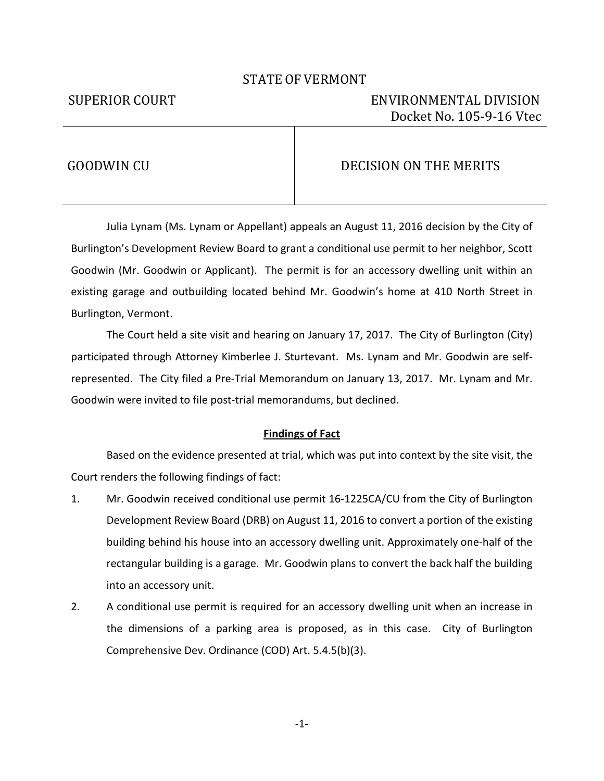# STATE OF VERMONT

# SUPERIOR COURT ENVIRONMENTAL DIVISION Docket No. 105-9-16 Vtec

# GOODWIN CU DECISION ON THE MERITS

Julia Lynam (Ms. Lynam or Appellant) appeals an August 11, 2016 decision by the City of Burlington's Development Review Board to grant a conditional use permit to her neighbor, Scott Goodwin (Mr. Goodwin or Applicant). The permit is for an accessory dwelling unit within an existing garage and outbuilding located behind Mr. Goodwin's home at 410 North Street in Burlington, Vermont.

The Court held a site visit and hearing on January 17, 2017. The City of Burlington (City) participated through Attorney Kimberlee J. Sturtevant. Ms. Lynam and Mr. Goodwin are selfrepresented. The City filed a Pre-Trial Memorandum on January 13, 2017. Mr. Lynam and Mr. Goodwin were invited to file post-trial memorandums, but declined.

## **Findings of Fact**

 Based on the evidence presented at trial, which was put into context by the site visit, the Court renders the following findings of fact:

- 1. Mr. Goodwin received conditional use permit 16-1225CA/CU from the City of Burlington Development Review Board (DRB) on August 11, 2016 to convert a portion of the existing building behind his house into an accessory dwelling unit. Approximately one-half of the rectangular building is a garage. Mr. Goodwin plans to convert the back half the building into an accessory unit.
- 2. A conditional use permit is required for an accessory dwelling unit when an increase in the dimensions of a parking area is proposed, as in this case. City of Burlington Comprehensive Dev. Ordinance (COD) Art. 5.4.5(b)(3).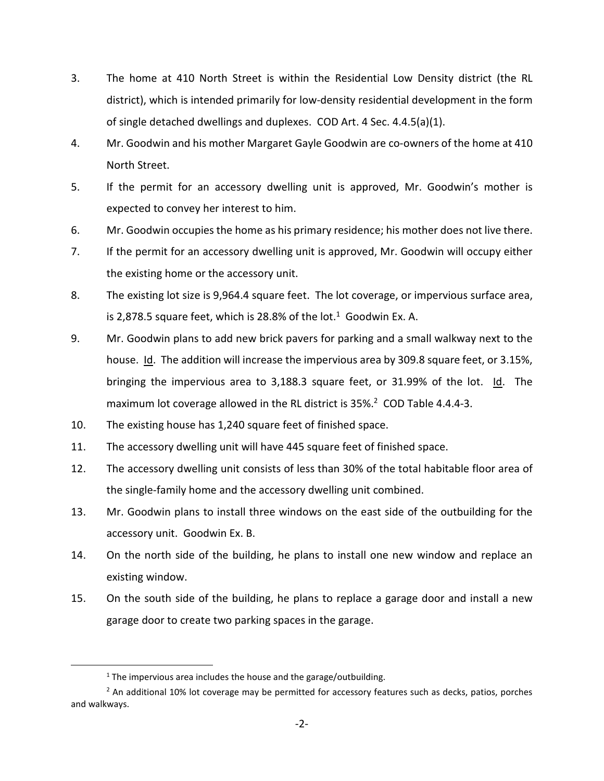- 3. The home at 410 North Street is within the Residential Low Density district (the RL district), which is intended primarily for low-density residential development in the form of single detached dwellings and duplexes. COD Art. 4 Sec. 4.4.5(a)(1).
- 4. Mr. Goodwin and his mother Margaret Gayle Goodwin are co-owners of the home at 410 North Street.
- 5. If the permit for an accessory dwelling unit is approved, Mr. Goodwin's mother is expected to convey her interest to him.
- 6. Mr. Goodwin occupies the home as his primary residence; his mother does not live there.
- 7. If the permit for an accessory dwelling unit is approved, Mr. Goodwin will occupy either the existing home or the accessory unit.
- 8. The existing lot size is 9,964.4 square feet. The lot coverage, or impervious surface area, is 2,878.5 square feet, which is 28.8% of the lot. $1$  Goodwin Ex. A.
- 9. Mr. Goodwin plans to add new brick pavers for parking and a small walkway next to the house. Id. The addition will increase the impervious area by 309.8 square feet, or 3.15%, bringing the impervious area to 3,188.3 square feet, or 31.99% of the lot. Id. The maximum lot coverage allowed in the RL district is 35%.<sup>2</sup> COD Table 4.4.4-3.
- 10. The existing house has 1,240 square feet of finished space.
- 11. The accessory dwelling unit will have 445 square feet of finished space.
- 12. The accessory dwelling unit consists of less than 30% of the total habitable floor area of the single-family home and the accessory dwelling unit combined.
- 13. Mr. Goodwin plans to install three windows on the east side of the outbuilding for the accessory unit. Goodwin Ex. B.
- 14. On the north side of the building, he plans to install one new window and replace an existing window.
- 15. On the south side of the building, he plans to replace a garage door and install a new garage door to create two parking spaces in the garage.

1

 $1$  The impervious area includes the house and the garage/outbuilding.

<sup>&</sup>lt;sup>2</sup> An additional 10% lot coverage may be permitted for accessory features such as decks, patios, porches and walkways.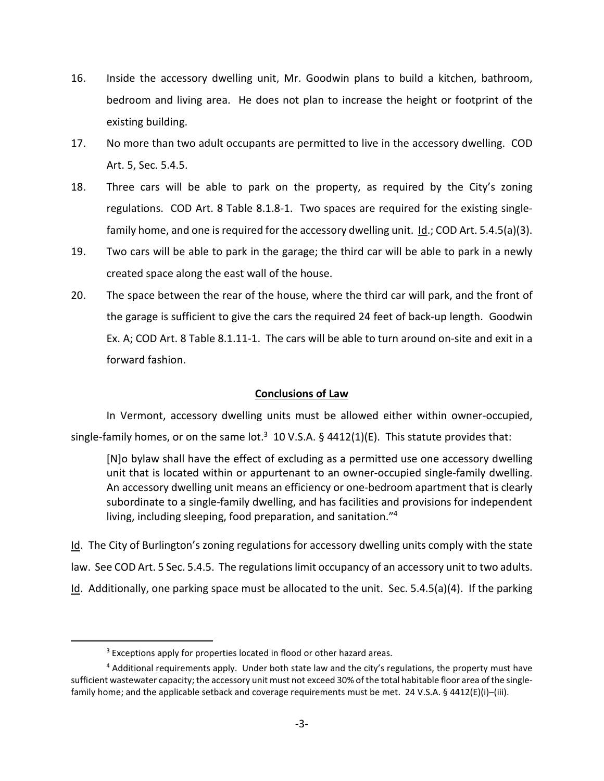- 16. Inside the accessory dwelling unit, Mr. Goodwin plans to build a kitchen, bathroom, bedroom and living area. He does not plan to increase the height or footprint of the existing building.
- 17. No more than two adult occupants are permitted to live in the accessory dwelling. COD Art. 5, Sec. 5.4.5.
- 18. Three cars will be able to park on the property, as required by the City's zoning regulations. COD Art. 8 Table 8.1.8-1. Two spaces are required for the existing singlefamily home, and one is required for the accessory dwelling unit. Id.; COD Art. 5.4.5(a)(3).
- 19. Two cars will be able to park in the garage; the third car will be able to park in a newly created space along the east wall of the house.
- 20. The space between the rear of the house, where the third car will park, and the front of the garage is sufficient to give the cars the required 24 feet of back-up length. Goodwin Ex. A; COD Art. 8 Table 8.1.11-1. The cars will be able to turn around on-site and exit in a forward fashion.

# **Conclusions of Law**

In Vermont, accessory dwelling units must be allowed either within owner-occupied, single-family homes, or on the same lot.<sup>3</sup> 10 V.S.A. § 4412(1)(E). This statute provides that:

[N]o bylaw shall have the effect of excluding as a permitted use one accessory dwelling unit that is located within or appurtenant to an owner-occupied single-family dwelling. An accessory dwelling unit means an efficiency or one-bedroom apartment that is clearly subordinate to a single-family dwelling, and has facilities and provisions for independent living, including sleeping, food preparation, and sanitation."<sup>4</sup>

Id. The City of Burlington's zoning regulations for accessory dwelling units comply with the state law. See COD Art. 5 Sec. 5.4.5. The regulations limit occupancy of an accessory unit to two adults. Id. Additionally, one parking space must be allocated to the unit. Sec. 5.4.5(a)(4). If the parking

.

<sup>&</sup>lt;sup>3</sup> Exceptions apply for properties located in flood or other hazard areas.

<sup>&</sup>lt;sup>4</sup> Additional requirements apply. Under both state law and the city's regulations, the property must have sufficient wastewater capacity; the accessory unit must not exceed 30% of the total habitable floor area of the singlefamily home; and the applicable setback and coverage requirements must be met. 24 V.S.A. § 4412(E)(i)–(iii).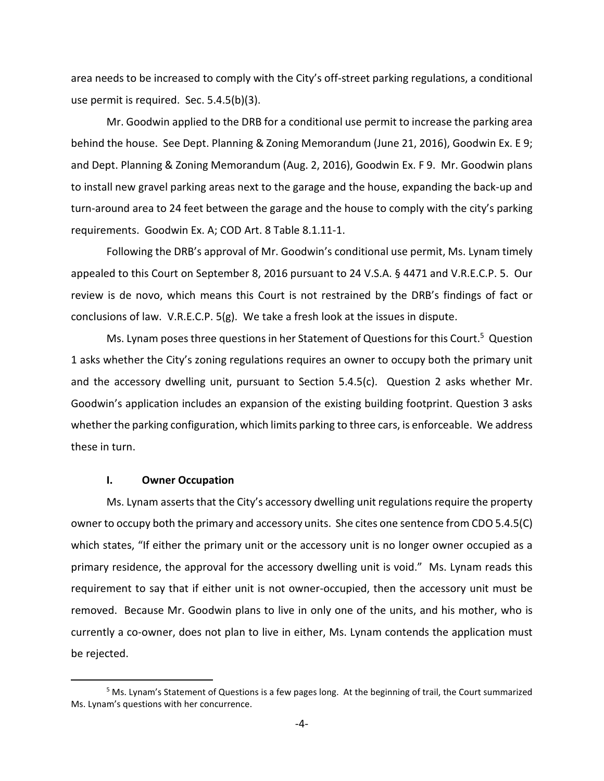area needs to be increased to comply with the City's off-street parking regulations, a conditional use permit is required. Sec. 5.4.5(b)(3).

Mr. Goodwin applied to the DRB for a conditional use permit to increase the parking area behind the house. See Dept. Planning & Zoning Memorandum (June 21, 2016), Goodwin Ex. E 9; and Dept. Planning & Zoning Memorandum (Aug. 2, 2016), Goodwin Ex. F 9. Mr. Goodwin plans to install new gravel parking areas next to the garage and the house, expanding the back-up and turn-around area to 24 feet between the garage and the house to comply with the city's parking requirements. Goodwin Ex. A; COD Art. 8 Table 8.1.11-1.

Following the DRB's approval of Mr. Goodwin's conditional use permit, Ms. Lynam timely appealed to this Court on September 8, 2016 pursuant to 24 V.S.A. § 4471 and V.R.E.C.P. 5. Our review is de novo, which means this Court is not restrained by the DRB's findings of fact or conclusions of law. V.R.E.C.P. 5(g). We take a fresh look at the issues in dispute.

Ms. Lynam poses three questions in her Statement of Questions for this Court.<sup>5</sup> Question 1 asks whether the City's zoning regulations requires an owner to occupy both the primary unit and the accessory dwelling unit, pursuant to Section 5.4.5(c). Question 2 asks whether Mr. Goodwin's application includes an expansion of the existing building footprint. Question 3 asks whether the parking configuration, which limits parking to three cars, is enforceable. We address these in turn.

## **I. Owner Occupation**

l

Ms. Lynam asserts that the City's accessory dwelling unit regulations require the property owner to occupy both the primary and accessory units. She cites one sentence from CDO 5.4.5(C) which states, "If either the primary unit or the accessory unit is no longer owner occupied as a primary residence, the approval for the accessory dwelling unit is void." Ms. Lynam reads this requirement to say that if either unit is not owner-occupied, then the accessory unit must be removed. Because Mr. Goodwin plans to live in only one of the units, and his mother, who is currently a co-owner, does not plan to live in either, Ms. Lynam contends the application must be rejected.

<sup>&</sup>lt;sup>5</sup> Ms. Lynam's Statement of Questions is a few pages long. At the beginning of trail, the Court summarized Ms. Lynam's questions with her concurrence.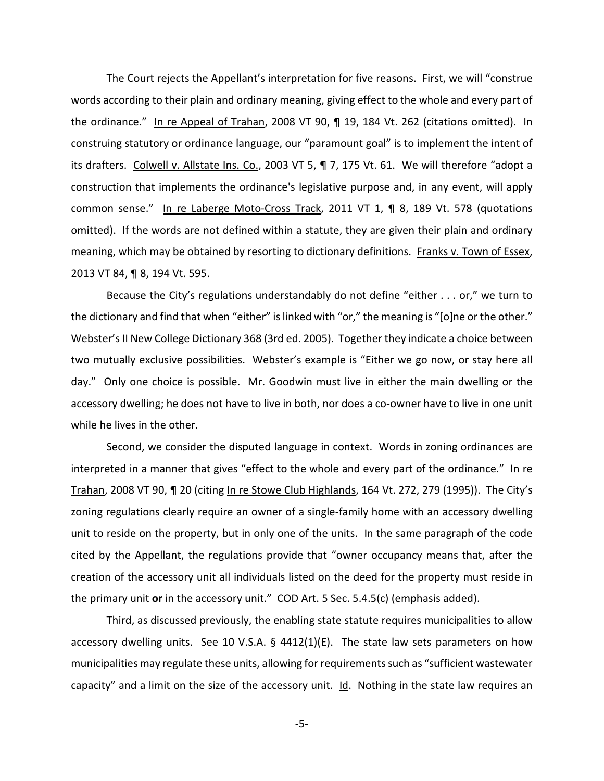The Court rejects the Appellant's interpretation for five reasons. First, we will "construe words according to their plain and ordinary meaning, giving effect to the whole and every part of the ordinance." In re Appeal of Trahan, 2008 VT 90, ¶ 19, 184 Vt. 262 (citations omitted). In construing statutory or ordinance language, our "paramount goal" is to implement the intent of its drafters. Colwell v. Allstate Ins. Co., 2003 VT 5, ¶ 7, 175 Vt. 61. We will therefore "adopt a construction that implements the ordinance's legislative purpose and, in any event, will apply common sense." In re Laberge Moto-Cross Track, 2011 VT 1, ¶ 8, 189 Vt. 578 (quotations omitted). If the words are not defined within a statute, they are given their plain and ordinary meaning, which may be obtained by resorting to dictionary definitions. Franks v. Town of Essex, 2013 VT 84, ¶ 8, 194 Vt. 595.

Because the City's regulations understandably do not define "either . . . or," we turn to the dictionary and find that when "either" is linked with "or," the meaning is "[o]ne or the other." Webster's II New College Dictionary 368 (3rd ed. 2005). Together they indicate a choice between two mutually exclusive possibilities. Webster's example is "Either we go now, or stay here all day." Only one choice is possible. Mr. Goodwin must live in either the main dwelling or the accessory dwelling; he does not have to live in both, nor does a co-owner have to live in one unit while he lives in the other.

Second, we consider the disputed language in context. Words in zoning ordinances are interpreted in a manner that gives "effect to the whole and every part of the ordinance." In re Trahan, 2008 VT 90, ¶ 20 (citing In re Stowe Club Highlands, 164 Vt. 272, 279 (1995)). The City's zoning regulations clearly require an owner of a single-family home with an accessory dwelling unit to reside on the property, but in only one of the units. In the same paragraph of the code cited by the Appellant, the regulations provide that "owner occupancy means that, after the creation of the accessory unit all individuals listed on the deed for the property must reside in the primary unit **or** in the accessory unit." COD Art. 5 Sec. 5.4.5(c) (emphasis added).

Third, as discussed previously, the enabling state statute requires municipalities to allow accessory dwelling units. See 10 V.S.A. § 4412(1)(E). The state law sets parameters on how municipalities may regulate these units, allowing for requirements such as "sufficient wastewater capacity" and a limit on the size of the accessory unit.  $Id$ . Nothing in the state law requires an

-5-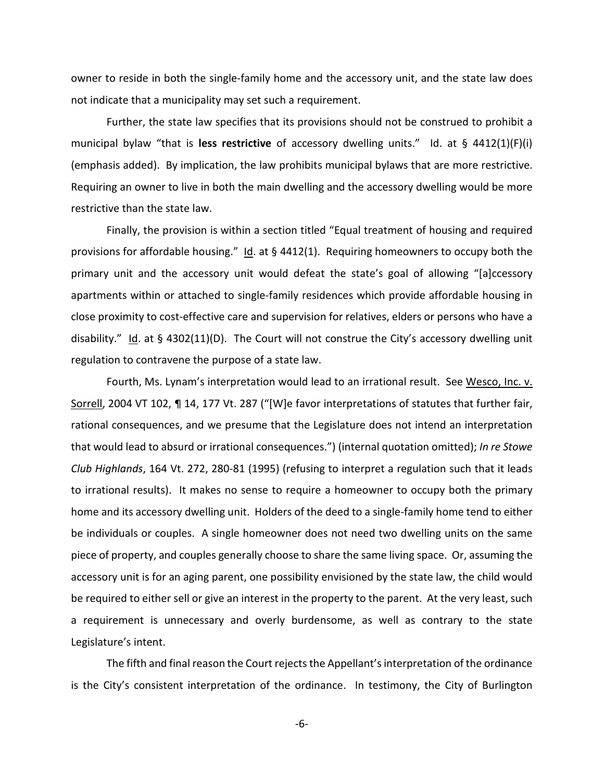owner to reside in both the single-family home and the accessory unit, and the state law does not indicate that a municipality may set such a requirement.

Further, the state law specifies that its provisions should not be construed to prohibit a municipal bylaw "that is **less restrictive** of accessory dwelling units." Id. at § 4412(1)(F)(i) (emphasis added). By implication, the law prohibits municipal bylaws that are more restrictive. Requiring an owner to live in both the main dwelling and the accessory dwelling would be more restrictive than the state law.

Finally, the provision is within a section titled "Equal treatment of housing and required provisions for affordable housing." Id. at  $\S$  4412(1). Requiring homeowners to occupy both the primary unit and the accessory unit would defeat the state's goal of allowing "[a]ccessory apartments within or attached to single-family residences which provide affordable housing in close proximity to cost-effective care and supervision for relatives, elders or persons who have a disability." Id. at  $\S$  4302(11)(D). The Court will not construe the City's accessory dwelling unit regulation to contravene the purpose of a state law.

Fourth, Ms. Lynam's interpretation would lead to an irrational result. See Wesco, Inc. v. Sorrell, 2004 VT 102, ¶ 14, 177 Vt. 287 ("[W]e favor interpretations of statutes that further fair, rational consequences, and we presume that the Legislature does not intend an interpretation that would lead to absurd or irrational consequences.") (internal quotation omitted); *In re Stowe Club Highlands*, 164 Vt. 272, 280-81 (1995) (refusing to interpret a regulation such that it leads to irrational results). It makes no sense to require a homeowner to occupy both the primary home and its accessory dwelling unit. Holders of the deed to a single-family home tend to either be individuals or couples. A single homeowner does not need two dwelling units on the same piece of property, and couples generally choose to share the same living space. Or, assuming the accessory unit is for an aging parent, one possibility envisioned by the state law, the child would be required to either sell or give an interest in the property to the parent. At the very least, such a requirement is unnecessary and overly burdensome, as well as contrary to the state Legislature's intent.

The fifth and final reason the Court rejects the Appellant's interpretation of the ordinance is the City's consistent interpretation of the ordinance. In testimony, the City of Burlington

-6-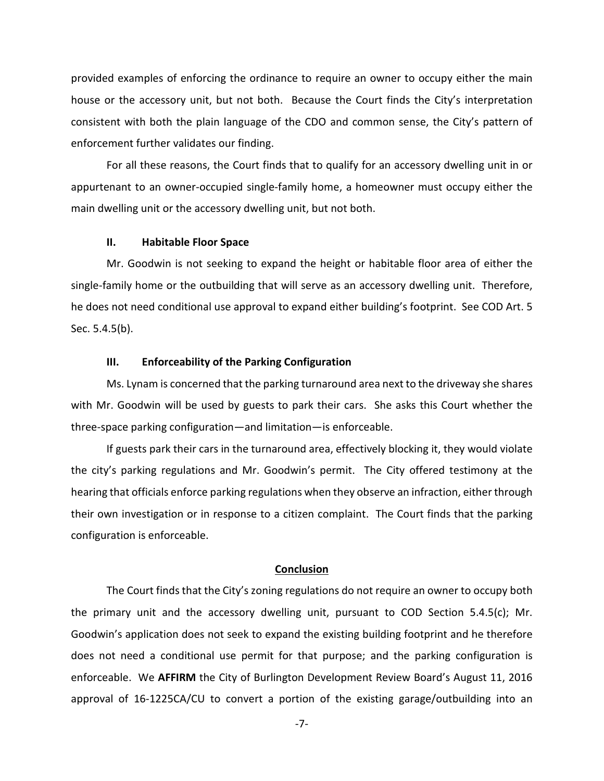provided examples of enforcing the ordinance to require an owner to occupy either the main house or the accessory unit, but not both. Because the Court finds the City's interpretation consistent with both the plain language of the CDO and common sense, the City's pattern of enforcement further validates our finding.

For all these reasons, the Court finds that to qualify for an accessory dwelling unit in or appurtenant to an owner-occupied single-family home, a homeowner must occupy either the main dwelling unit or the accessory dwelling unit, but not both.

#### **II. Habitable Floor Space**

Mr. Goodwin is not seeking to expand the height or habitable floor area of either the single-family home or the outbuilding that will serve as an accessory dwelling unit. Therefore, he does not need conditional use approval to expand either building's footprint. See COD Art. 5 Sec. 5.4.5(b).

### **III. Enforceability of the Parking Configuration**

Ms. Lynam is concerned that the parking turnaround area next to the driveway she shares with Mr. Goodwin will be used by guests to park their cars. She asks this Court whether the three-space parking configuration—and limitation—is enforceable.

If guests park their cars in the turnaround area, effectively blocking it, they would violate the city's parking regulations and Mr. Goodwin's permit. The City offered testimony at the hearing that officials enforce parking regulations when they observe an infraction, either through their own investigation or in response to a citizen complaint. The Court finds that the parking configuration is enforceable.

### **Conclusion**

The Court finds that the City's zoning regulations do not require an owner to occupy both the primary unit and the accessory dwelling unit, pursuant to COD Section 5.4.5(c); Mr. Goodwin's application does not seek to expand the existing building footprint and he therefore does not need a conditional use permit for that purpose; and the parking configuration is enforceable. We **AFFIRM** the City of Burlington Development Review Board's August 11, 2016 approval of 16-1225CA/CU to convert a portion of the existing garage/outbuilding into an

-7-